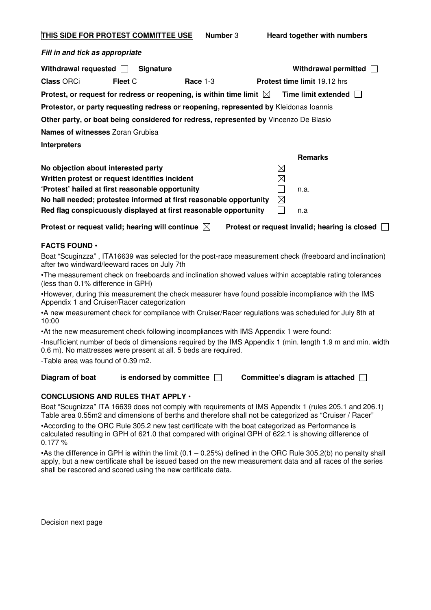| THIS SIDE FOR PROTEST COMMITTEE USE | <b>Number 3</b> |
|-------------------------------------|-----------------|
|-------------------------------------|-----------------|

**Fill in and tick as appropriate** 

| Withdrawal requested $\Box$ | <b>Signature</b>                                 |                                                                                       |             | Withdrawal permitted                |  |
|-----------------------------|--------------------------------------------------|---------------------------------------------------------------------------------------|-------------|-------------------------------------|--|
| <b>Class ORCi</b>           | <b>Fleet C</b>                                   | Race $1-3$                                                                            |             | <b>Protest time limit 19.12 hrs</b> |  |
|                             |                                                  | Protest, or request for redress or reopening, is within time limit $\boxtimes$        |             | <b>Time limit extended</b>          |  |
|                             |                                                  | Protestor, or party requesting redress or reopening, represented by Kleidonas Ioannis |             |                                     |  |
|                             |                                                  | Other party, or boat being considered for redress, represented by Vincenzo De Blasio  |             |                                     |  |
|                             | <b>Names of witnesses</b> Zoran Grubisa          |                                                                                       |             |                                     |  |
| <b>Interpreters</b>         |                                                  |                                                                                       |             |                                     |  |
|                             |                                                  |                                                                                       |             | <b>Remarks</b>                      |  |
|                             | No objection about interested party              |                                                                                       | ⊠           |                                     |  |
|                             | Written protest or request identifies incident   |                                                                                       | $\boxtimes$ |                                     |  |
|                             | 'Protest' hailed at first reasonable opportunity |                                                                                       |             | n.a.                                |  |
|                             |                                                  | No hail needed; protestee informed at first reasonable opportunity                    | ⊠           |                                     |  |
|                             |                                                  | Red flag conspicuously displayed at first reasonable opportunity                      |             | n.a                                 |  |

Protest or request valid; hearing will continue  $\boxtimes$  Protest or request invalid; hearing is closed  $\Box$ 

## **FACTS FOUND** •

Boat "Scuginzza" , ITA16639 was selected for the post-race measurement check (freeboard and inclination) after two windward/leeward races on July 7th

•The measurement check on freeboards and inclination showed values within acceptable rating tolerances (less than 0.1% difference in GPH)

•However, during this measurement the check measurer have found possible incompliance with the IMS Appendix 1 and Cruiser/Racer categorization

•A new measurement check for compliance with Cruiser/Racer regulations was scheduled for July 8th at 10:00

•At the new measurement check following incompliances with IMS Appendix 1 were found:

-Insufficient number of beds of dimensions required by the IMS Appendix 1 (min. length 1.9 m and min. width 0.6 m). No mattresses were present at all. 5 beds are required.

-Table area was found of 0.39 m2.

## **Diagram of boat is endorsed by committee**  $\Box$  **Committee's diagram is attached**  $\Box$

**CONCLUSIONS AND RULES THAT APPLY** •

Boat "Scugnizza" ITA 16639 does not comply with requirements of IMS Appendix 1 (rules 205.1 and 206.1) Table area 0.55m2 and dimensions of berths and therefore shall not be categorized as "Cruiser / Racer"

•According to the ORC Rule 305.2 new test certificate with the boat categorized as Performance is calculated resulting in GPH of 621.0 that compared with original GPH of 622.1 is showing difference of 0.177 %

•As the difference in GPH is within the limit (0.1 – 0.25%) defined in the ORC Rule 305.2(b) no penalty shall apply, but a new certificate shall be issued based on the new measurement data and all races of the series shall be rescored and scored using the new certificate data.

Decision next page